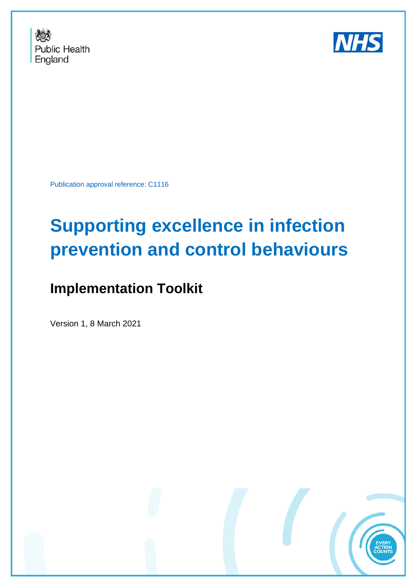



Publication approval reference: C1116

# **Supporting excellence in infection prevention and control behaviours**

# **Implementation Toolkit**

Version 1, 8 March 2021

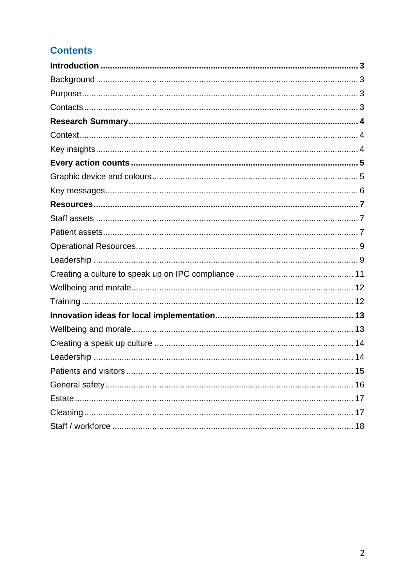# **Contents**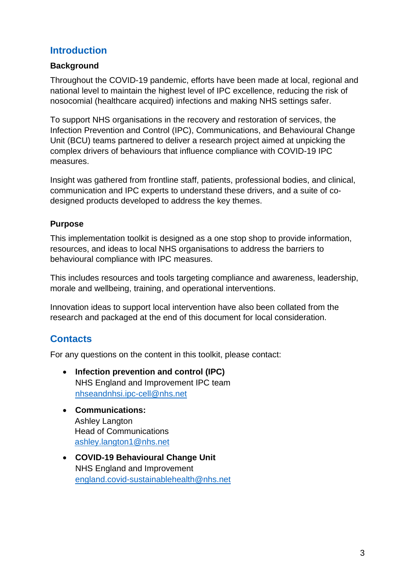# <span id="page-2-0"></span>**Introduction**

# <span id="page-2-1"></span>**Background**

Throughout the COVID-19 pandemic, efforts have been made at local, regional and national level to maintain the highest level of IPC excellence, reducing the risk of nosocomial (healthcare acquired) infections and making NHS settings safer.

To support NHS organisations in the recovery and restoration of services, the Infection Prevention and Control (IPC), Communications, and Behavioural Change Unit (BCU) teams partnered to deliver a research project aimed at unpicking the complex drivers of behaviours that influence compliance with COVID-19 IPC measures.

Insight was gathered from frontline staff, patients, professional bodies, and clinical, communication and IPC experts to understand these drivers, and a suite of codesigned products developed to address the key themes.

# <span id="page-2-2"></span>**Purpose**

This implementation toolkit is designed as a one stop shop to provide information, resources, and ideas to local NHS organisations to address the barriers to behavioural compliance with IPC measures.

This includes resources and tools targeting compliance and awareness, leadership, morale and wellbeing, training, and operational interventions.

Innovation ideas to support local intervention have also been collated from the research and packaged at the end of this document for local consideration.

# <span id="page-2-3"></span>**Contacts**

For any questions on the content in this toolkit, please contact:

- **Infection prevention and control (IPC)**  NHS England and Improvement IPC team [nhseandnhsi.ipc-cell@nhs.net](mailto:nhseandnhsi.ipc-cell@nhs.net)
- **Communications:** Ashley Langton Head of Communications [ashley.langton1@nhs.net](mailto:ashley.langton1@nhs.net)
- **COVID-19 Behavioural Change Unit**  NHS England and Improvement [england.covid-sustainablehealth@nhs.net](mailto:england.covid-sustainablehealth@nhs.net)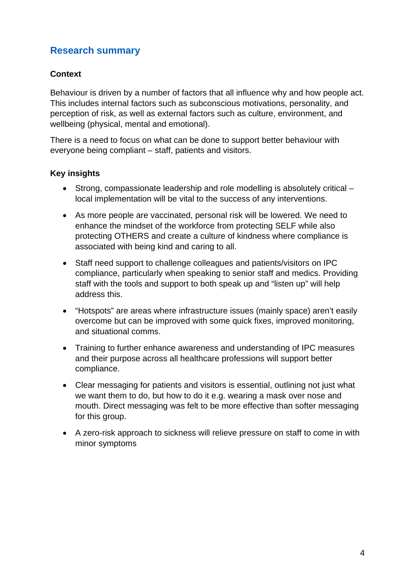# <span id="page-3-0"></span>**Research summary**

# <span id="page-3-1"></span>**Context**

Behaviour is driven by a number of factors that all influence why and how people act. This includes internal factors such as subconscious motivations, personality, and perception of risk, as well as external factors such as culture, environment, and wellbeing (physical, mental and emotional).

There is a need to focus on what can be done to support better behaviour with everyone being compliant – staff, patients and visitors.

# <span id="page-3-2"></span>**Key insights**

- Strong, compassionate leadership and role modelling is absolutely critical local implementation will be vital to the success of any interventions.
- As more people are vaccinated, personal risk will be lowered. We need to enhance the mindset of the workforce from protecting SELF while also protecting OTHERS and create a culture of kindness where compliance is associated with being kind and caring to all.
- Staff need support to challenge colleagues and patients/visitors on IPC compliance, particularly when speaking to senior staff and medics. Providing staff with the tools and support to both speak up and "listen up" will help address this.
- "Hotspots" are areas where infrastructure issues (mainly space) aren't easily overcome but can be improved with some quick fixes, improved monitoring, and situational comms.
- Training to further enhance awareness and understanding of IPC measures and their purpose across all healthcare professions will support better compliance.
- Clear messaging for patients and visitors is essential, outlining not just what we want them to do, but how to do it e.g. wearing a mask over nose and mouth. Direct messaging was felt to be more effective than softer messaging for this group.
- A zero-risk approach to sickness will relieve pressure on staff to come in with minor symptoms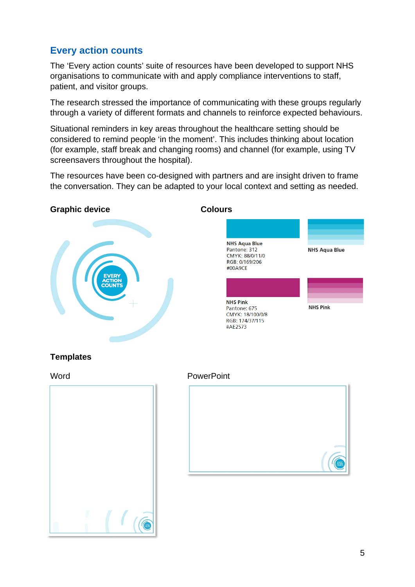# <span id="page-4-0"></span>**Every action counts**

The 'Every action counts' suite of resources have been developed to support NHS organisations to communicate with and apply compliance interventions to staff, patient, and visitor groups.

The research stressed the importance of communicating with these groups regularly through a variety of different formats and channels to reinforce expected behaviours.

Situational reminders in key areas throughout the healthcare setting should be considered to remind people 'in the moment'. This includes thinking about location (for example, staff break and changing rooms) and channel (for example, using TV screensavers throughout the hospital).

The resources have been co-designed with partners and are insight driven to frame the conversation. They can be adapted to your local context and setting as needed.

#### <span id="page-4-1"></span>**Graphic device Colours**





# **Templates**

Word **PowerPoint** 

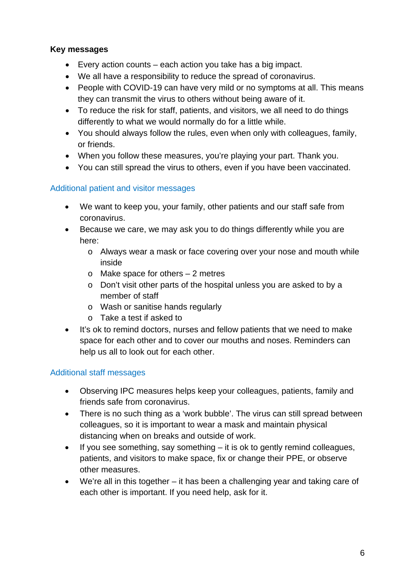# <span id="page-5-0"></span>**Key messages**

- Every action counts each action you take has a big impact.
- We all have a responsibility to reduce the spread of coronavirus.
- People with COVID-19 can have very mild or no symptoms at all. This means they can transmit the virus to others without being aware of it.
- To reduce the risk for staff, patients, and visitors, we all need to do things differently to what we would normally do for a little while.
- You should always follow the rules, even when only with colleagues, family, or friends.
- When you follow these measures, you're playing your part. Thank you.
- You can still spread the virus to others, even if you have been vaccinated.

# Additional patient and visitor messages

- We want to keep you, your family, other patients and our staff safe from coronavirus.
- Because we care, we may ask you to do things differently while you are here:
	- o Always wear a mask or face covering over your nose and mouth while inside
	- o Make space for others 2 metres
	- o Don't visit other parts of the hospital unless you are asked to by a member of staff
	- o Wash or sanitise hands regularly
	- o Take a test if asked to
- It's ok to remind doctors, nurses and fellow patients that we need to make space for each other and to cover our mouths and noses. Reminders can help us all to look out for each other.

# Additional staff messages

- Observing IPC measures helps keep your colleagues, patients, family and friends safe from coronavirus.
- There is no such thing as a 'work bubble'. The virus can still spread between colleagues, so it is important to wear a mask and maintain physical distancing when on breaks and outside of work.
- If you see something, say something it is ok to gently remind colleagues, patients, and visitors to make space, fix or change their PPE, or observe other measures.
- We're all in this together it has been a challenging year and taking care of each other is important. If you need help, ask for it.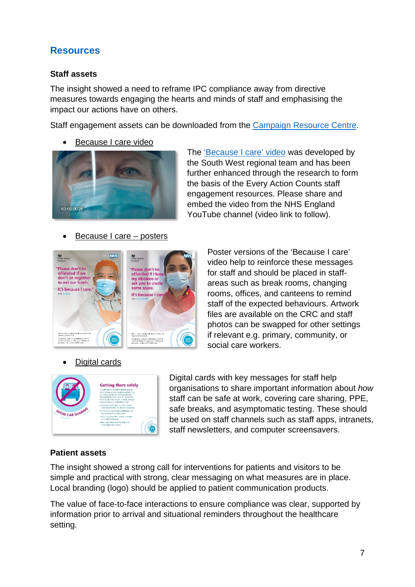# <span id="page-6-0"></span>**Resources**

# <span id="page-6-1"></span>**Staff assets**

The insight showed a need to reframe IPC compliance away from directive measures towards engaging the hearts and minds of staff and emphasising the impact our actions have on others.

Staff engagement assets can be downloaded from the [Campaign Resource Centre.](https://coronavirusresources.phe.gov.uk/nhs-resources-facilities/resources/every-action-counts-staff-materials/)

• Because I care video



The ['Because I care' video](https://youtu.be/0nZG_oOHp7M) was developed by the South West regional team and has been further enhanced through the research to form the basis of the Every Action Counts staff engagement resources. Please share and embed the video from the NHS England YouTube channel (video link to follow).

# • Because I care – posters



• Digital cards

Poster versions of the 'Because I care' video help to reinforce these messages for staff and should be placed in staffareas such as break rooms, changing rooms, offices, and canteens to remind staff of the expected behaviours. Artwork files are available on the CRC and staff photos can be swapped for other settings if relevant e.g. primary, community, or social care workers.



Digital cards with key messages for staff help organisations to share important information about *how* staff can be safe at work, covering care sharing, PPE, safe breaks, and asymptomatic testing. These should be used on staff channels such as staff apps, intranets, staff newsletters, and computer screensavers.

# <span id="page-6-2"></span>**Patient assets**

The insight showed a strong call for interventions for patients and visitors to be simple and practical with strong, clear messaging on what measures are in place. Local branding (logo) should be applied to patient communication products.

The value of face-to-face interactions to ensure compliance was clear, supported by information prior to arrival and situational reminders throughout the healthcare setting.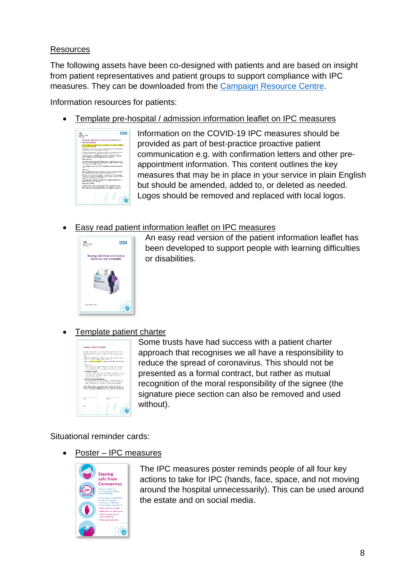# Resources

The following assets have been co-designed with patients and are based on insight from patient representatives and patient groups to support compliance with IPC measures. They can be downloaded from the [Campaign Resource Centre.](https://coronavirusresources.phe.gov.uk/nhs-resources-facilities/resources/every-action-counts-patient-materials/)

Information resources for patients:

• Template pre-hospital / admission information leaflet on IPC measures .



Information on the COVID-19 IPC measures should be provided as part of best-practice proactive patient communication e.g. with confirmation letters and other preappointment information. This content outlines the key measures that may be in place in your service in plain English but should be amended, added to, or deleted as needed. Logos should be removed and replaced with local logos.

# • Easy read patient information leaflet on IPC measures



An easy read version of the patient information leaflet has been developed to support people with learning difficulties or disabilities.

# • Template patient charter

| Patient / Visitor Charter                                           |                                                                                                                                                                                                                       |
|---------------------------------------------------------------------|-----------------------------------------------------------------------------------------------------------------------------------------------------------------------------------------------------------------------|
|                                                                     |                                                                                                                                                                                                                       |
|                                                                     | And the benefits of the contract that a distribution of<br>the first continued in the contract process and contract of the contract of                                                                                |
|                                                                     | influence and in Neumann and Contract and Contract and Indianapolis (1977).                                                                                                                                           |
| approach and other the control of the control of the control of the | And a process diff. In a batter continuous and the company                                                                                                                                                            |
| ×.                                                                  | A different interesting and real in department of a subsidiary                                                                                                                                                        |
| The Most of Profit.                                                 | Public of the second and development of the model in the latter.                                                                                                                                                      |
|                                                                     | state of this ball and a continues were as a winter of the<br>and a complete state that an except and a contract the contract                                                                                         |
| Di Mora renga di Istiani.<br>ment and south and states.             | The states the relation case of the continent and continent and the model of<br>a dia 14 metatra dia 4 metatra. Ny fisiana ara-daharampehintany ary<br>substantial for the firms arrow defined a side of any          |
| Distributes proves how over heath                                   |                                                                                                                                                                                                                       |
|                                                                     | his articular lists are differential and a sensitive conduct.<br>and the Analysis were associated and contract of the United                                                                                          |
|                                                                     | book of the first medium construction of the first property has a well-                                                                                                                                               |
|                                                                     | Caucul My Microsoft Via Leading Call With While Areas world.<br>parties in the trained refer to the control concerns for each energy.<br>to mean our results and make found consists we used to talk and result only. |
| No.                                                                 | State of                                                                                                                                                                                                              |
|                                                                     |                                                                                                                                                                                                                       |
| <b>Sec</b>                                                          |                                                                                                                                                                                                                       |

Some trusts have had success with a patient charter approach that recognises we all have a responsibility to reduce the spread of coronavirus. This should not be presented as a formal contract, but rather as mutual recognition of the moral responsibility of the signee (the signature piece section can also be removed and used without).

Situational reminder cards:

• Poster – IPC measures



The IPC measures poster reminds people of all four key actions to take for IPC (hands, face, space, and not moving around the hospital unnecessarily). This can be used around the estate and on social media.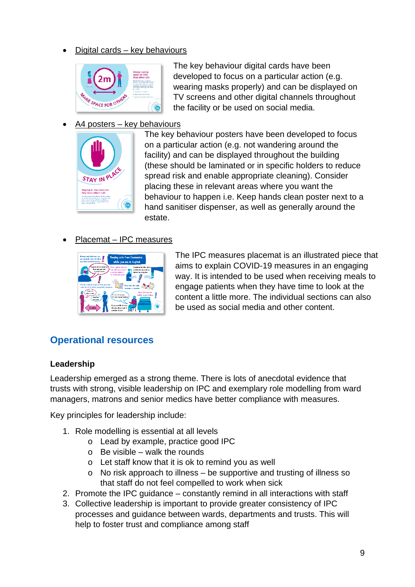• Digital cards – key behaviours



The key behaviour digital cards have been developed to focus on a particular action (e.g. wearing masks properly) and can be displayed on TV screens and other digital channels throughout the facility or be used on social media.

# • A4 posters – key behaviours



The key behaviour posters have been developed to focus on a particular action (e.g. not wandering around the facility) and can be displayed throughout the building (these should be laminated or in specific holders to reduce spread risk and enable appropriate cleaning). Consider placing these in relevant areas where you want the behaviour to happen i.e. Keep hands clean poster next to a hand sanitiser dispenser, as well as generally around the estate.

# • Placemat – IPC measures



The IPC measures placemat is an illustrated piece that aims to explain COVID-19 measures in an engaging way. It is intended to be used when receiving meals to engage patients when they have time to look at the content a little more. The individual sections can also be used as social media and other content.

# <span id="page-8-0"></span>**Operational resources**

# <span id="page-8-1"></span>**Leadership**

Leadership emerged as a strong theme. There is lots of anecdotal evidence that trusts with strong, visible leadership on IPC and exemplary role modelling from ward managers, matrons and senior medics have better compliance with measures.

Key principles for leadership include:

- 1. Role modelling is essential at all levels
	- o Lead by example, practice good IPC
	- $\circ$  Be visible walk the rounds
	- o Let staff know that it is ok to remind you as well
	- o No risk approach to illness be supportive and trusting of illness so that staff do not feel compelled to work when sick
- 2. Promote the IPC guidance constantly remind in all interactions with staff
- 3. Collective leadership is important to provide greater consistency of IPC processes and guidance between wards, departments and trusts. This will help to foster trust and compliance among staff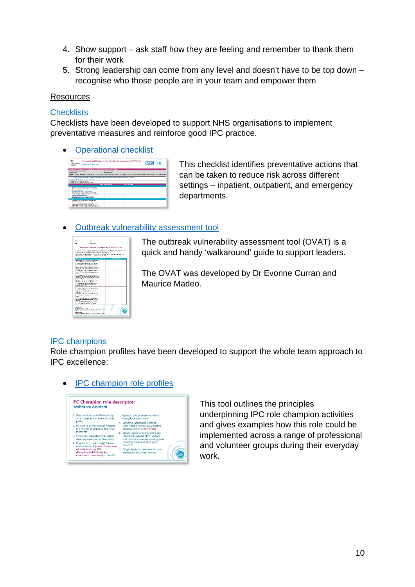- 4. Show support ask staff how they are feeling and remember to thank them for their work
- 5. Strong leadership can come from any level and doesn't have to be top down recognise who those people are in your team and empower them

#### **Resources**

#### **Checklists**

Checklists have been developed to support NHS organisations to implement preventative measures and reinforce good IPC practice.

• [Operational checklist](https://www.england.nhs.uk/coronavirus/publication/every-action-counts/)

| 56<br>Public Health<br>England                                                                                                                                                                                                                                            | <b>Encroace Department</b>                                                                                                  |                            | Checklist and Monitoring Tool for the Management of COVID-19                                                                                                                    | <b>MHS</b> |
|---------------------------------------------------------------------------------------------------------------------------------------------------------------------------------------------------------------------------------------------------------------------------|-----------------------------------------------------------------------------------------------------------------------------|----------------------------|---------------------------------------------------------------------------------------------------------------------------------------------------------------------------------|------------|
|                                                                                                                                                                                                                                                                           | Check but and transported focal bandle Management of Cole to the Christmas's Cultivations of                                |                            |                                                                                                                                                                                 |            |
| <b>TELESCOPESITY/INDUSTRIATE</b>                                                                                                                                                                                                                                          |                                                                                                                             | Link Children Links        |                                                                                                                                                                                 |            |
| <b>Annual Art Electric</b>                                                                                                                                                                                                                                                |                                                                                                                             | <b>American News</b>       |                                                                                                                                                                                 |            |
|                                                                                                                                                                                                                                                                           |                                                                                                                             |                            | Names, To every be removed of supplications COVO/16 models. The to Assume that from as an Online to it as well a specific source of dealer and to environment of a Council of A |            |
|                                                                                                                                                                                                                                                                           |                                                                                                                             |                            |                                                                                                                                                                                 |            |
|                                                                                                                                                                                                                                                                           | LOS UNIVERSIDADE DE BILNIA VIOLEBRICA UNIVERSIDADE DEL DES INBERIO, CARDO ANOS LOS LOSTOS DE DE TARDE DOS NOVOS CUAMBERDO   |                            |                                                                                                                                                                                 |            |
|                                                                                                                                                                                                                                                                           | To excess the first product in Council and an                                                                               |                            |                                                                                                                                                                                 |            |
|                                                                                                                                                                                                                                                                           |                                                                                                                             |                            |                                                                                                                                                                                 |            |
|                                                                                                                                                                                                                                                                           | he was that the state of an analysis and the term                                                                           |                            |                                                                                                                                                                                 |            |
|                                                                                                                                                                                                                                                                           |                                                                                                                             | <b>SALES CHAPTERS IN A</b> | APPEAL VS TA EMAX                                                                                                                                                               |            |
|                                                                                                                                                                                                                                                                           |                                                                                                                             |                            |                                                                                                                                                                                 |            |
|                                                                                                                                                                                                                                                                           | Process harant in create dealer and more are adult<br>the third stand to consider an accountable                            |                            |                                                                                                                                                                                 |            |
| for the airport                                                                                                                                                                                                                                                           |                                                                                                                             |                            |                                                                                                                                                                                 |            |
|                                                                                                                                                                                                                                                                           | <b>CANDIDATES CARD AT STRUCTURES</b>                                                                                        |                            |                                                                                                                                                                                 |            |
|                                                                                                                                                                                                                                                                           | Week and will give your file and annually and                                                                               |                            |                                                                                                                                                                                 |            |
|                                                                                                                                                                                                                                                                           | crown status to rate mot, the and concentrate.                                                                              |                            |                                                                                                                                                                                 |            |
| that are not to be compared that the                                                                                                                                                                                                                                      |                                                                                                                             |                            |                                                                                                                                                                                 |            |
|                                                                                                                                                                                                                                                                           | to different delight and other maintaining and                                                                              |                            |                                                                                                                                                                                 |            |
|                                                                                                                                                                                                                                                                           | <b>BOTH COLLEGE AND LOCATED</b>                                                                                             |                            |                                                                                                                                                                                 |            |
|                                                                                                                                                                                                                                                                           |                                                                                                                             |                            |                                                                                                                                                                                 |            |
|                                                                                                                                                                                                                                                                           | <b>La viene tennis e primeira comunitar en en encon-</b>                                                                    |                            |                                                                                                                                                                                 |            |
| Art Mountain                                                                                                                                                                                                                                                              | about him and the people and the people is an in-                                                                           |                            |                                                                                                                                                                                 |            |
|                                                                                                                                                                                                                                                                           | PASSES CREW CONTACT MATTER INTERNATION                                                                                      |                            |                                                                                                                                                                                 |            |
| <b>Professional Professional Professional Professional Professional Professional Professional Professional Professional Professional Professional Professional Professional Professional Professional Professional Professional </b><br><b>Grand</b><br><b>All Source</b> | the fill we are a report that movement in three infinite and<br>the model from any factorized to change the biograph of the |                            |                                                                                                                                                                                 |            |

This checklist identifies preventative actions that can be taken to reduce risk across different settings – inpatient, outpatient, and emergency departments.

#### • Outbreak [vulnerability assessment](https://www.england.nhs.uk/coronavirus/publication/every-action-counts/) tool

| Sec.                                                               | <b>CM</b>                                                                                                                                                                                                                               |                  |
|--------------------------------------------------------------------|-----------------------------------------------------------------------------------------------------------------------------------------------------------------------------------------------------------------------------------------|------------------|
| <b>HALL</b>                                                        | ankies                                                                                                                                                                                                                                  |                  |
|                                                                    | COVID-19 Outbreak Vulnerability Assessment Tool                                                                                                                                                                                         |                  |
|                                                                    | The old office case any will get to such a sewarch as the performance of a second Particular as<br>harasi and deen are someble in order to import a hilly a mind forward.                                                               |                  |
|                                                                    | The growth countries as a constraint to a squared the model manuscription for all<br>the short theories are an artistic to an over the office. EC Theory                                                                                |                  |
| <b>Sustainable Profiles</b>                                        | 25.8                                                                                                                                                                                                                                    | <b>MATHAMATA</b> |
|                                                                    | Secrets Crist Neuse - Bandara<br>trives after a dense it was noted in                                                                                                                                                                   |                  |
| <b>COLOR</b>                                                       | Condition NV services for child, regiment<br>a fraction of prime the control street from the con-<br>and managers in the financial financial managers<br>A SER SUZZE LOR COURT DER ROUNDE<br>My parties they in from marrilly under the |                  |
| a del                                                              | Court By Const. too with production.<br>curion in locatility of construction                                                                                                                                                            |                  |
|                                                                    | to fail the way that was made a call to affilt.<br>for the country, to help out the country of a cold<br>with the part want for the state wheel to the cost<br>perhousant for, end emess to a part.                                     |                  |
|                                                                    | Makers Crys a dock has been did<br>the attempt to a contract?                                                                                                                                                                           |                  |
| sum by mount                                                       | the service with advertised in Company for<br>a parter when my phis includes and<br>has an Organization and Control                                                                                                                     |                  |
| <b>ATACHART</b>                                                    | the character for the courts off substant<br>contribute in changing industry the automatic<br>concern modernia manager action                                                                                                           |                  |
| $x \sim r$                                                         | Distances The NY String A house in<br>you and was you do as any of the taster where                                                                                                                                                     |                  |
|                                                                    | CONTINUES TO THE PRESS CARD CONTINUES.<br>to a minimum content for the company<br>Supert 3t variation models in currents                                                                                                                |                  |
|                                                                    | AC TOP BRITA SCHOOL THAN ALSO                                                                                                                                                                                                           |                  |
| <b>Literature</b><br><b>S. PowerForce South</b><br><b>Facultan</b> | More to Associate a state of the contract with a state<br>Deposited the content costs on costs and<br>ONNE DESCRIPTION AND MANUFACTUAL ARRESTS AND                                                                                      |                  |

The outbreak vulnerability assessment tool (OVAT) is a quick and handy 'walkaround' guide to support leaders.

The OVAT was developed by Dr Evonne Curran and Maurice Madeo.

#### IPC champions

Role champion profiles have been developed to support the whole team approach to IPC excellence:





This tool outlines the principles underpinning IPC role champion activities and gives examples how this role could be implemented across a range of professional and volunteer groups during their everyday work.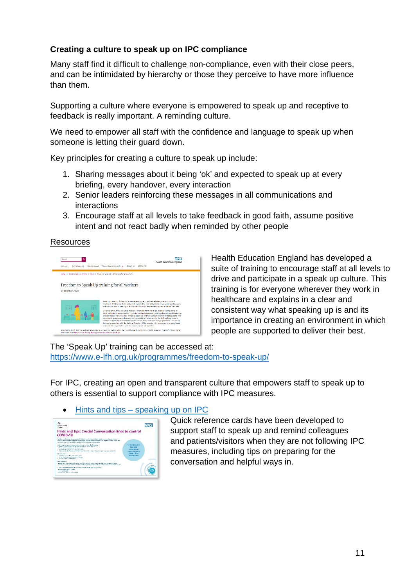# <span id="page-10-0"></span>**Creating a culture to speak up on IPC compliance**

Many staff find it difficult to challenge non-compliance, even with their close peers, and can be intimidated by hierarchy or those they perceive to have more influence than them.

Supporting a culture where everyone is empowered to speak up and receptive to feedback is really important. A reminding culture.

We need to empower all staff with the confidence and language to speak up when someone is letting their guard down.

Key principles for creating a culture to speak up include:

- 1. Sharing messages about it being 'ok' and expected to speak up at every briefing, every handover, every interaction
- 2. Senior leaders reinforcing these messages in all communications and interactions
- 3. Encourage staff at all levels to take feedback in good faith, assume positive intent and not react badly when reminded by other people

# Resources



Health Education England has developed a suite of training to encourage staff at all levels to drive and participate in a speak up culture. This training is for everyone wherever they work in healthcare and explains in a clear and consistent way what speaking up is and its importance in creating an environment in which people are supported to deliver their best.

The 'Speak Up' training can be accessed at: <https://www.e-lfh.org.uk/programmes/freedom-to-speak-up/>

For IPC, creating an open and transparent culture that empowers staff to speak up to others is essential to support compliance with IPC measures.

#### • Hints and tips – [speaking up on IPC](https://www.england.nhs.uk/coronavirus/publication/every-action-counts/)

| 妈<br><b>Punite Health</b><br>Bridge                                                                                                                                                                                                                                                                                                                                                                                                                                                        | <b>NHS</b>                                                                                 |
|--------------------------------------------------------------------------------------------------------------------------------------------------------------------------------------------------------------------------------------------------------------------------------------------------------------------------------------------------------------------------------------------------------------------------------------------------------------------------------------------|--------------------------------------------------------------------------------------------|
| Hints and tips: Crucial Conversation lines to control<br>COVID-19                                                                                                                                                                                                                                                                                                                                                                                                                          |                                                                                            |
| Talcing to colleagues about uncomfortable leases is olive accided due to the perpetition that we<br>mish: allient screens we was close a with. Associated convenibles, can require quation. If you can<br>preforms harves it can held to brevia victation catering for averaging.                                                                                                                                                                                                          |                                                                                            |
| refer a bustining a couponers conceptation, revision the following<br>a billion constituence further than produced in an except at<br>- Chicara the provisional Fiddings ago<br>a sharped and specificate management<br>· If you are cristal to province an imaginately cleane find a way to flug your conservations an example.<br>fession mine.<br>- Abstractus to be the more than<br>. St Af the bow b that you can to digger<br>. I CATTLE WAS LIMITED AS ALL<br><b>Euro manufina</b> | Sometimes not<br>having a<br>couracizous<br>conversation is<br>vicklar than<br>having one! |
| www.et as shown wils be an enable by D. Has a that the sual backer as a consultant and the set of<br>contrast to with as and had credite and flin and be assesses to address been times. It is essentially as also                                                                                                                                                                                                                                                                         |                                                                                            |
| A gains belong hygrogeneity Depress Uncombassade Sale (CLC) model.<br>ay concerned circuit, carbid<br>are concertainable.<br>The self will be thinking on to Steph-                                                                                                                                                                                                                                                                                                                        |                                                                                            |

Quick reference cards have been developed to support staff to speak up and remind colleagues and patients/visitors when they are not following IPC measures, including tips on preparing for the conversation and helpful ways in.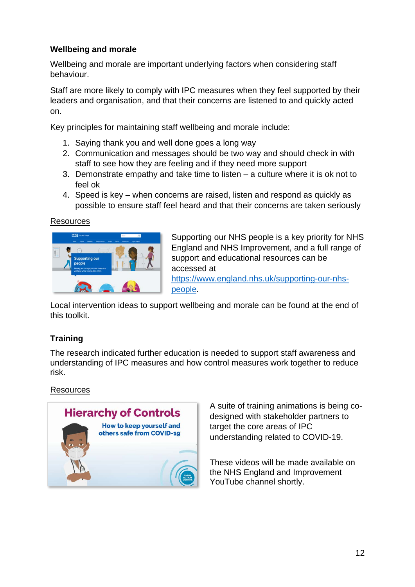# <span id="page-11-0"></span>**Wellbeing and morale**

Wellbeing and morale are important underlying factors when considering staff behaviour.

Staff are more likely to comply with IPC measures when they feel supported by their leaders and organisation, and that their concerns are listened to and quickly acted on.

Key principles for maintaining staff wellbeing and morale include:

- 1. Saying thank you and well done goes a long way
- 2. Communication and messages should be two way and should check in with staff to see how they are feeling and if they need more support
- 3. Demonstrate empathy and take time to listen a culture where it is ok not to feel ok
- 4. Speed is key when concerns are raised, listen and respond as quickly as possible to ensure staff feel heard and that their concerns are taken seriously

#### **Resources**



Supporting our NHS people is a key priority for NHS England and NHS Improvement, and a full range of support and educational resources can be accessed at [https://www.england.nhs.uk/supporting-our-nhs](https://www.england.nhs.uk/supporting-our-nhs-people)[people.](https://www.england.nhs.uk/supporting-our-nhs-people)

Local intervention ideas to support wellbeing and morale can be found at the end of this toolkit.

# <span id="page-11-1"></span>**Training**

The research indicated further education is needed to support staff awareness and understanding of IPC measures and how control measures work together to reduce risk.

**Resources** 



A suite of training animations is being codesigned with stakeholder partners to target the core areas of IPC understanding related to COVID-19.

These videos will be made available on the NHS England and Improvement YouTube channel shortly.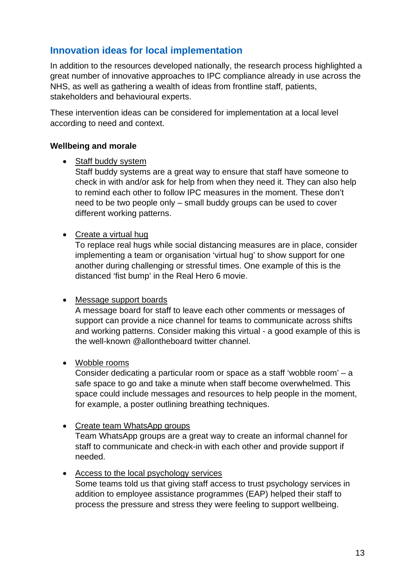# <span id="page-12-0"></span>**Innovation ideas for local implementation**

In addition to the resources developed nationally, the research process highlighted a great number of innovative approaches to IPC compliance already in use across the NHS, as well as gathering a wealth of ideas from frontline staff, patients, stakeholders and behavioural experts.

These intervention ideas can be considered for implementation at a local level according to need and context.

# <span id="page-12-1"></span>**Wellbeing and morale**

• Staff buddy system

Staff buddy systems are a great way to ensure that staff have someone to check in with and/or ask for help from when they need it. They can also help to remind each other to follow IPC measures in the moment. These don't need to be two people only – small buddy groups can be used to cover different working patterns.

• Create a virtual hug

To replace real hugs while social distancing measures are in place, consider implementing a team or organisation 'virtual hug' to show support for one another during challenging or stressful times. One example of this is the distanced 'fist bump' in the Real Hero 6 movie.

# • Message support boards

A message board for staff to leave each other comments or messages of support can provide a nice channel for teams to communicate across shifts and working patterns. Consider making this virtual - a good example of this is the well-known @allontheboard twitter channel.

# • Wobble rooms

Consider dedicating a particular room or space as a staff 'wobble room' – a safe space to go and take a minute when staff become overwhelmed. This space could include messages and resources to help people in the moment, for example, a poster outlining breathing techniques.

• Create team WhatsApp groups Team WhatsApp groups are a great way to create an informal channel for staff to communicate and check-in with each other and provide support if needed.

# • Access to the local psychology services

Some teams told us that giving staff access to trust psychology services in addition to employee assistance programmes (EAP) helped their staff to process the pressure and stress they were feeling to support wellbeing.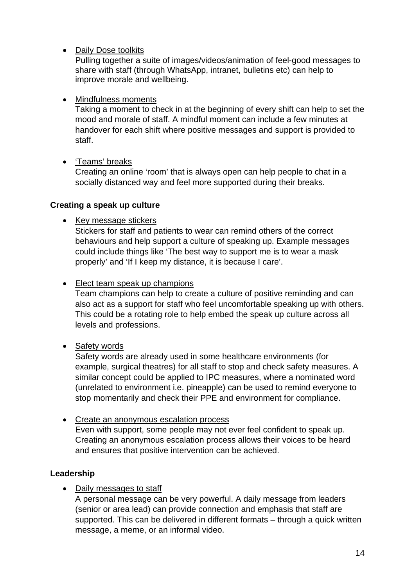• Daily Dose toolkits

Pulling together a suite of images/videos/animation of feel-good messages to share with staff (through WhatsApp, intranet, bulletins etc) can help to improve morale and wellbeing.

# • Mindfulness moments

Taking a moment to check in at the beginning of every shift can help to set the mood and morale of staff. A mindful moment can include a few minutes at handover for each shift where positive messages and support is provided to staff.

• 'Teams' breaks

Creating an online 'room' that is always open can help people to chat in a socially distanced way and feel more supported during their breaks.

# <span id="page-13-0"></span>**Creating a speak up culture**

• Key message stickers

Stickers for staff and patients to wear can remind others of the correct behaviours and help support a culture of speaking up. Example messages could include things like 'The best way to support me is to wear a mask properly' and 'If I keep my distance, it is because I care'.

• Elect team speak up champions

Team champions can help to create a culture of positive reminding and can also act as a support for staff who feel uncomfortable speaking up with others. This could be a rotating role to help embed the speak up culture across all levels and professions.

• Safety words

Safety words are already used in some healthcare environments (for example, surgical theatres) for all staff to stop and check safety measures. A similar concept could be applied to IPC measures, where a nominated word (unrelated to environment i.e. pineapple) can be used to remind everyone to stop momentarily and check their PPE and environment for compliance.

• Create an anonymous escalation process Even with support, some people may not ever feel confident to speak up. Creating an anonymous escalation process allows their voices to be heard and ensures that positive intervention can be achieved.

# <span id="page-13-1"></span>**Leadership**

• Daily messages to staff

A personal message can be very powerful. A daily message from leaders (senior or area lead) can provide connection and emphasis that staff are supported. This can be delivered in different formats – through a quick written message, a meme, or an informal video.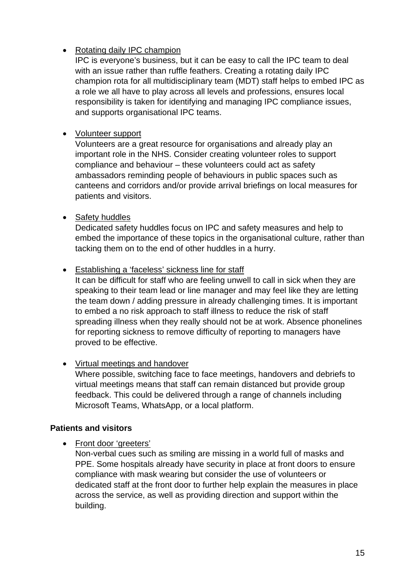# • Rotating daily IPC champion

IPC is everyone's business, but it can be easy to call the IPC team to deal with an issue rather than ruffle feathers. Creating a rotating daily IPC champion rota for all multidisciplinary team (MDT) staff helps to embed IPC as a role we all have to play across all levels and professions, ensures local responsibility is taken for identifying and managing IPC compliance issues, and supports organisational IPC teams.

# • Volunteer support

Volunteers are a great resource for organisations and already play an important role in the NHS. Consider creating volunteer roles to support compliance and behaviour – these volunteers could act as safety ambassadors reminding people of behaviours in public spaces such as canteens and corridors and/or provide arrival briefings on local measures for patients and visitors.

# • Safety huddles

Dedicated safety huddles focus on IPC and safety measures and help to embed the importance of these topics in the organisational culture, rather than tacking them on to the end of other huddles in a hurry.

# • Establishing a 'faceless' sickness line for staff

It can be difficult for staff who are feeling unwell to call in sick when they are speaking to their team lead or line manager and may feel like they are letting the team down / adding pressure in already challenging times. It is important to embed a no risk approach to staff illness to reduce the risk of staff spreading illness when they really should not be at work. Absence phonelines for reporting sickness to remove difficulty of reporting to managers have proved to be effective.

# • Virtual meetings and handover

Where possible, switching face to face meetings, handovers and debriefs to virtual meetings means that staff can remain distanced but provide group feedback. This could be delivered through a range of channels including Microsoft Teams, WhatsApp, or a local platform.

# <span id="page-14-0"></span>**Patients and visitors**

• Front door 'greeters'

Non-verbal cues such as smiling are missing in a world full of masks and PPE. Some hospitals already have security in place at front doors to ensure compliance with mask wearing but consider the use of volunteers or dedicated staff at the front door to further help explain the measures in place across the service, as well as providing direction and support within the building.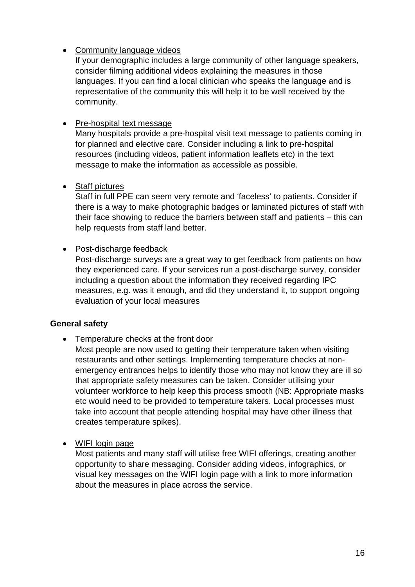• Community language videos

If your demographic includes a large community of other language speakers, consider filming additional videos explaining the measures in those languages. If you can find a local clinician who speaks the language and is representative of the community this will help it to be well received by the community.

# • Pre-hospital text message

Many hospitals provide a pre-hospital visit text message to patients coming in for planned and elective care. Consider including a link to pre-hospital resources (including videos, patient information leaflets etc) in the text message to make the information as accessible as possible.

# • Staff pictures

Staff in full PPE can seem very remote and 'faceless' to patients. Consider if there is a way to make photographic badges or laminated pictures of staff with their face showing to reduce the barriers between staff and patients – this can help requests from staff land better.

# • Post-discharge feedback

Post-discharge surveys are a great way to get feedback from patients on how they experienced care. If your services run a post-discharge survey, consider including a question about the information they received regarding IPC measures, e.g. was it enough, and did they understand it, to support ongoing evaluation of your local measures

# <span id="page-15-0"></span>**General safety**

• Temperature checks at the front door

Most people are now used to getting their temperature taken when visiting restaurants and other settings. Implementing temperature checks at nonemergency entrances helps to identify those who may not know they are ill so that appropriate safety measures can be taken. Consider utilising your volunteer workforce to help keep this process smooth (NB: Appropriate masks etc would need to be provided to temperature takers. Local processes must take into account that people attending hospital may have other illness that creates temperature spikes).

# • WIFI login page

Most patients and many staff will utilise free WIFI offerings, creating another opportunity to share messaging. Consider adding videos, infographics, or visual key messages on the WIFI login page with a link to more information about the measures in place across the service.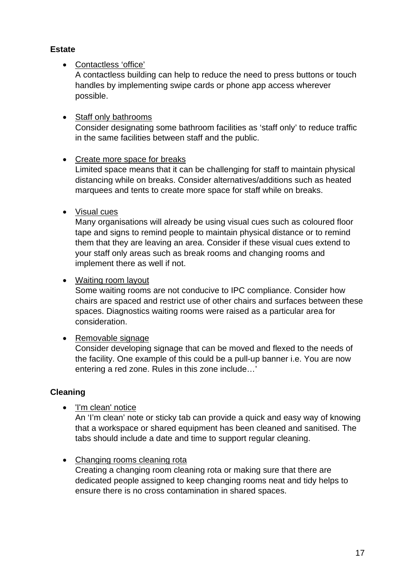# <span id="page-16-0"></span>**Estate**

# • Contactless 'office'

A contactless building can help to reduce the need to press buttons or touch handles by implementing swipe cards or phone app access wherever possible.

# • Staff only bathrooms

Consider designating some bathroom facilities as 'staff only' to reduce traffic in the same facilities between staff and the public.

# • Create more space for breaks

Limited space means that it can be challenging for staff to maintain physical distancing while on breaks. Consider alternatives/additions such as heated marquees and tents to create more space for staff while on breaks.

# • Visual cues

Many organisations will already be using visual cues such as coloured floor tape and signs to remind people to maintain physical distance or to remind them that they are leaving an area. Consider if these visual cues extend to your staff only areas such as break rooms and changing rooms and implement there as well if not.

# • Waiting room layout

Some waiting rooms are not conducive to IPC compliance. Consider how chairs are spaced and restrict use of other chairs and surfaces between these spaces. Diagnostics waiting rooms were raised as a particular area for consideration.

# • Removable signage

Consider developing signage that can be moved and flexed to the needs of the facility. One example of this could be a pull-up banner i.e. You are now entering a red zone. Rules in this zone include…'

# <span id="page-16-1"></span>**Cleaning**

• 'I'm clean' notice

An 'I'm clean' note or sticky tab can provide a quick and easy way of knowing that a workspace or shared equipment has been cleaned and sanitised. The tabs should include a date and time to support regular cleaning.

# • Changing rooms cleaning rota

Creating a changing room cleaning rota or making sure that there are dedicated people assigned to keep changing rooms neat and tidy helps to ensure there is no cross contamination in shared spaces.